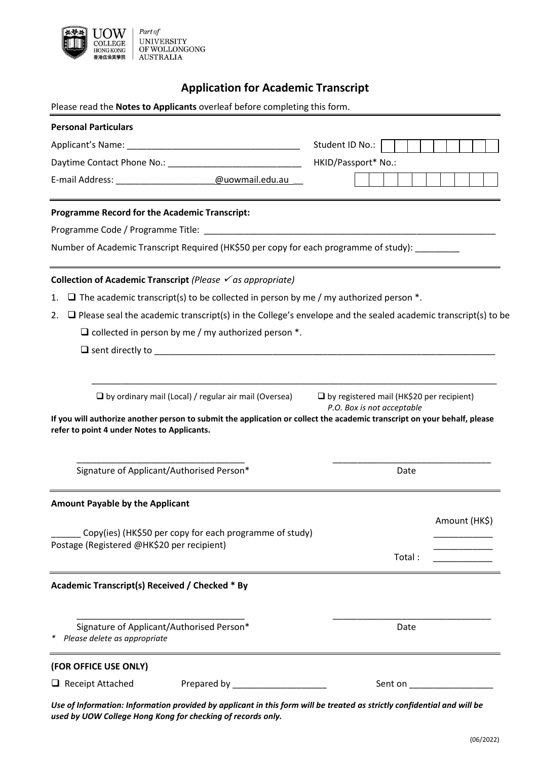

# **Application for Academic Transcript**

Please read the **Notes to Applicants** overleaf before completing this form.

| <b>Personal Particulars</b>                                                                                                                                                                                                             |                                                                                |                                 |
|-----------------------------------------------------------------------------------------------------------------------------------------------------------------------------------------------------------------------------------------|--------------------------------------------------------------------------------|---------------------------------|
|                                                                                                                                                                                                                                         | Student ID No.:                                                                |                                 |
|                                                                                                                                                                                                                                         | HKID/Passport* No.:                                                            |                                 |
| E-mail Address: and all and all and all and all and all and all and all and all and all and all and all and all and all and all and all and all and all and all and all and all and all and all and all and all and all and al          |                                                                                |                                 |
| <b>Programme Record for the Academic Transcript:</b>                                                                                                                                                                                    |                                                                                |                                 |
|                                                                                                                                                                                                                                         |                                                                                |                                 |
| Number of Academic Transcript Required (HK\$50 per copy for each programme of study):                                                                                                                                                   |                                                                                |                                 |
| Collection of Academic Transcript (Please $\checkmark$ as appropriate)                                                                                                                                                                  |                                                                                |                                 |
| $\Box$ The academic transcript(s) to be collected in person by me / my authorized person $*$ .<br>1.                                                                                                                                    |                                                                                |                                 |
| $\Box$ Please seal the academic transcript(s) in the College's envelope and the sealed academic transcript(s) to be<br>2.                                                                                                               |                                                                                |                                 |
| $\Box$ collected in person by me / my authorized person $*$ .                                                                                                                                                                           |                                                                                |                                 |
|                                                                                                                                                                                                                                         |                                                                                |                                 |
| $\Box$ by ordinary mail (Local) / regular air mail (Oversea)<br>If you will authorize another person to submit the application or collect the academic transcript on your behalf, please<br>refer to point 4 under Notes to Applicants. | $\Box$ by registered mail (HK\$20 per recipient)<br>P.O. Box is not acceptable |                                 |
| Signature of Applicant/Authorised Person*                                                                                                                                                                                               | Date                                                                           |                                 |
| <b>Amount Payable by the Applicant</b>                                                                                                                                                                                                  |                                                                                |                                 |
|                                                                                                                                                                                                                                         |                                                                                | Amount (HK\$)                   |
| Copy(ies) (HK\$50 per copy for each programme of study)<br>Postage (Registered @HK\$20 per recipient)                                                                                                                                   |                                                                                |                                 |
|                                                                                                                                                                                                                                         | Total:                                                                         |                                 |
| Academic Transcript(s) Received / Checked * By                                                                                                                                                                                          |                                                                                |                                 |
| Signature of Applicant/Authorised Person*<br>Please delete as appropriate                                                                                                                                                               | Date                                                                           |                                 |
| (FOR OFFICE USE ONLY)                                                                                                                                                                                                                   |                                                                                |                                 |
| Prepared by ______________________<br>$\Box$ Receipt Attached                                                                                                                                                                           |                                                                                | Sent on <b>Exercise Sent on</b> |
| Use of Information: Information provided by applicant in this form will be treated as strictly confidential and will be<br>used by UOW College Hong Kong for checking of records only.                                                  |                                                                                |                                 |